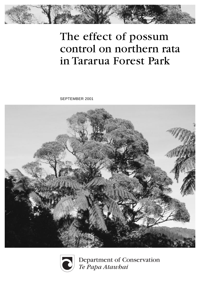

# The effect of possum control on northern rata in Tararua Forest Park

SEPTEMBER 2001





Department of Conservation Te Papa Atawhai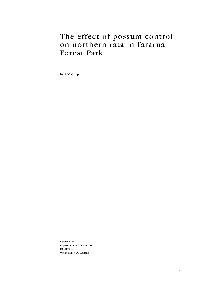### The effect of possum control on northern rata in Tararua Forest Park

by P. N. Crisp

Published by: Department of Conservation P. O. Box 5086 Wellington, New Zealand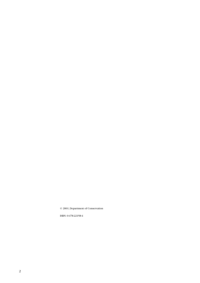© 2001, Department of Conservation

ISBN: 0-478-22158-4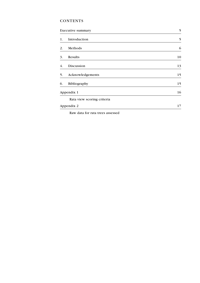#### **CONTENTS**

|            | <b>Executive summary</b>   |    |  |  |  |
|------------|----------------------------|----|--|--|--|
| 1.         | Introduction               | 5  |  |  |  |
| 2.         | Methods                    | 6  |  |  |  |
| 3.         | Results                    | 10 |  |  |  |
| 4.         | Discussion                 | 13 |  |  |  |
| 5.         | Acknowledgements           | 15 |  |  |  |
| 6.         | Bibliography               | 15 |  |  |  |
| Appendix 1 | 16                         |    |  |  |  |
|            | Rata view scoring criteria |    |  |  |  |
|            | Appendix 2                 | 17 |  |  |  |

Raw data for rata trees assessed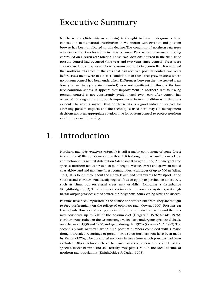### Executive Summary

Northern rata (*Metrosideros robusta*) is thought to have undergone a large contraction in its natural distribution in Wellington Conservancy and possum browse has been implicated in this decline. The condition of northern rata trees was assessed at two locations in Tararua Forest Park where possums are being controlled on a seven-year rotation. These two locations differed in the time since possum control had occurred (one year and two years since control). Trees were also assessed in nearby areas where possums are not being controlled. It was found that northern rata trees in the area that had received possum control two years before assessment were in a better condition than those that grew in areas where no possum control had been undertaken. Differences between the two treated areas (one year and two years since control) were not significant for three of the four tree condition scores. It appears that improvement in northern rata following possum control is not consistently evident until two years after control has occurred, although a trend towards improvement in tree condition with time was evident. The results suggest that northern rata is a good indicator species for assessing possum impacts and the techniques used here may aid management decisions about an appropriate rotation time for possum control to protect northern rata from possum browsing.

### 1. Introduction

Northern rata (*Metrosideros robusta*) is still a major component of some forest types in the Wellington Conservancy, though it is thought to have undergone a large contraction in its natural distribution (McKessar & Sawyer, 1999). An emergent tree species, northern rata can reach 30 m in height (Wardle, 1991), and grows in mixed coastal, lowland and montane forest communities, at altitudes of up to 700 m (Allan, 1961). It is found throughout the North Island and southwards to Westport in the South Island. Northern rata usually begins life as an epiphyte perched on a host tree, such as rimu, but terrestrial trees may establish following a disturbance (Knightbridge, 1993). This tree species is important in forest ecosystems, as its high nectar output provides a food source for indigenous honey-eating birds and insects.

Possums have been implicated in the demise of northern rata trees. They are thought to feed preferentially on the foliage of epiphytic rata (Cowan, 1990). Possums eat leaves, buds, flowers and young shoots of the tree and studies have found that rata may constitute up to 30% of the possum diet (Fitzgerald, 1976; Meads, 1976). Northern rata studied in the Orongorongo valley have undergone episodic dieback, once between 1930 and 1950, and again during the 1970s (Cowan *et al*., 1997). The second episode occurred when high possum numbers coincided with a major drought. Detailed recordings of possum browse on northern rata have been made by Meads, (1976), who also noted recovery in trees from which possums had been excluded. Other factors such as the synchronous senescence of cohorts of the species, insect browse and soil fertility may play a role in the local decline of northern rata populations (Knightbridge & Ogden, 1998).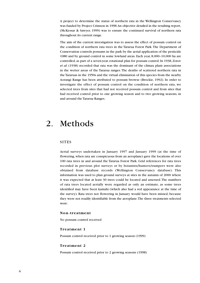A project to determine the status of northern rata in the Wellington Conservancy was funded by Project Crimson in 1998. An objective detailed in the resulting report, (McKessar & Sawyer, 1999) was to ensure the continued survival of northern rata throughout its current range.

The aim of the current investigation was to assess the effect of possum control on the condition of northern rata trees in the Tararua Forest Park. The Department of Conservation controls possums in the park by the aerial application of the pesticide 1080 and by ground control in some lowland areas. Each year, 8,000–10,000 ha are controlled, as part of a seven-year, rotational plan for possum control. In 1938, Zotov *et al*. (1938) recorded that rata was the dominant of the climax plant associations in the wetter areas of the Tararua ranges. The deaths of scattered northern rata in the Tararuas in the 1950s and the virtual elimination of this species from the nearby Aorangi Range has been attributed to possum browse (Brockie, 1992). In order to investigate the effect of possum control on the condition of northern rata, we selected trees from sites that had not received possum control and from sites that had received control prior to one growing season and to two growing seasons, in and around the Tararua Ranges.

### 2. Methods

#### **SITES**

Aerial surveys undertaken in January 1997 and January 1999 (at the time of flowering, when rata are conspicuous from an aeroplane) gave the locations of over 100 rata trees in and around the Tararua Forest Park. Grid references for rata trees recorded in previous plot surveys or by botanists/hunters/trampers were also obtained from database records (Wellington Conservancy database). This information was used to plan ground surveys at sites in the autumn of 2000 where it was expected that at least 30 trees could be located and assessed. The numbers of rata trees located aerially were regarded as only an estimate, as some trees identified may have been kamahi (which also had a red appearance at the time of the survey). Rata trees not flowering in January would have been missed, because they were not readily identifiable from the aeroplane. The three treatments selected were:

#### **Non-treatment**

No possum control received

#### **Treatment 1**

Possum control received prior to 1 growing season (1999)

#### **Treatment 2**

Possum control received prior to 2 growing seasons (1998)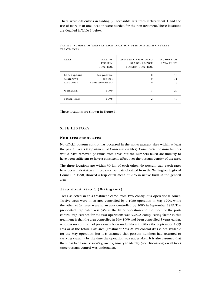There were difficulties in finding 30 accessible rata trees at Treatment 1 and the use of more than one location were needed for the non-treatment. These locations are detailed in Table 1 below.

| AREA                                  | YEAR OF<br><b>POSSUM</b><br>CONTROL     | NUMBER OF GROWING<br><b>SEASONS SINCE</b><br>POSSUM CONTROL | NUMBER OF<br><b>RATA TREES</b> |
|---------------------------------------|-----------------------------------------|-------------------------------------------------------------|--------------------------------|
| Kapakapanui<br>Akatarawa<br>Avro Road | No possum<br>control<br>(non-treatment) | $\Omega$<br>$\Omega$<br>$\Omega$                            | 10<br>11<br>9                  |
| Waingawa                              | 1999                                    | 1                                                           | 20                             |
| Totara Flats                          | 1998                                    | 2                                                           | 30                             |

TABLE 1: NUMBER OF TREES AT EACH LOCATION USED FOR EACH OF THREE TREATMENTS.

These locations are shown in Figure 1.

#### SITE HISTORY

#### **Non-treatment area**

No official possum control has occurred in the non-treatment sites within at least the past 10 years (Department of Conservation files). Commercial possum hunters would have removed possums from areas but the numbers taken are unlikely to have been sufficient to have a consistent effect over the possum density of the area.

The three locations are within 30 km of each other. No possum trap catch rates have been undertaken at these sites, but data obtained from the Wellington Regional Council in 1998, showed a trap catch mean of 20% in native bush in the general area.

#### **Treatment area 1 (Waingawa)**

Trees selected in this treatment came from two contiguous operational zones. Twelve trees were in an area controlled by a 1080 operation in May 1999, while the other eight trees were in an area controlled by 1080 in September 1999. The pre-control trap catch was 34% in the latter operation and the mean of the postcontrol trap catches for the two operations was 3.2%. A complicating factor in this treatment is that the area controlled in May 1999 had been controlled 5 years earlier, whereas no control had previously been undertaken in either the September, 1999 area or at the Totara Flats area (Treatment Area 2). Pre-control data is not available for the May operation, but it is assumed that possum numbers had returned to carrying capacity by the time the operation was undertaken. It is also assumed that there has been one season's growth (January to March), (see Discussion) on all trees since possum control was undertaken.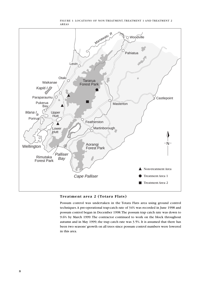

#### FIGURE 1: LOCATIONS OF NON-TREATMENT, TREATMENT 1 AND TREATMENT 2 AREAS

**Treatment area 2 (Totara Flats)**

Possum control was undertaken in the Totara Flats area using ground control techniques. A pre-operational trap-catch rate of 34% was recorded in June 1998 and possum control began in December 1998. The possum trap catch rate was down to 9.6% by March 1999. The contractor continued to work on the block throughout autumn and in May 1999, the trap catch rate was 3.5%. It is assumed that there has been two seasons' growth on all trees since possum control numbers were lowered in this area.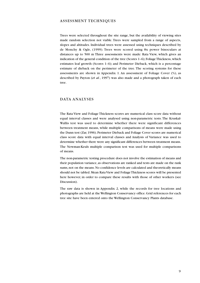#### ASSESSMENT TECHNIQUES

Trees were selected throughout the site range, but the availability of viewing sites made random selection not viable. Trees were sampled from a range of aspects, slopes and altitudes. Individual trees were assessed using techniques described by de Monchy & Ogle, (1999). Trees were scored using 8x power binoculars at distances up to 500 m Three assessments were made: Rata View, which gives an indication of the general condition of the tree (Scores 1–6); Foliage Thickness, which estimates leaf growth (Scores 1–6); and Perimeter Dieback, which is a percentage estimate of dieback on the perimeter of the tree. The scoring systems for these assessments are shown in Appendix 1. An assessment of Foliage Cover (%), as described by Payton (*et al*., 1997) was also made and a photograph taken of each tree.

#### DATA ANALYSES

The Rata View and Foliage Thickness scores are numerical class score data without equal interval classes and were analysed using non-parametric tests. The Kruskal-Wallis test was used to determine whether there were significant differences between treatment means, while multiple comparisons of means were made using the Dunn test (Zar, 1996). Perimeter Dieback and Foliage Cover scores are numerical class score data with equal interval classes and Analysis of Variance was used to determine whether there were any significant differences between treatment means. The Newman-Keuls multiple comparison test was used for multiple comparisons of means.

The non-parametric testing procedure does not involve the estimation of means and their population variance, as observations are ranked and tests are made on the rank sums, not on the means. No confidence levels are calculated and theoretically means should not be tabled. Mean Rata View and Foliage Thickness scores will be presented here however, in order to compare these results with those of other workers (see Discussion).

The raw data is shown in Appendix 2, while the records for tree locations and photographs are held at the Wellington Conservancy office. Grid references for each tree site have been entered onto the Wellington Conservancy Plants database.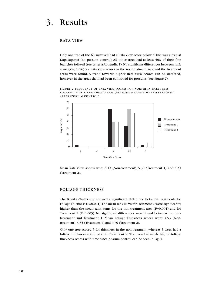### 3. Results

#### RATA VIEW

Only one tree of the 60 surveyed had a Rata View score below 5; this was a tree at Kapakapanui (no possum control). All other trees had at least 50% of their fine branches foliated (see criteria Appendix 1). No significant differences between rank sums (Zar, 1996) for Rata View scores in the non-treatment area and the treatment areas were found. A trend towards higher Rata View scores can be detected, however, in the areas that had been controlled for possums (see Figure 2).

FIGURE 2: FREQUENCY OF RATA VIEW SCORES FOR NORTHERN RATA TREES LOCATED IN NON-TREATMENT AREAS (NO POSSUM CONTROL) AND TREATMENT AREAS (POSSUM CONTROL).



Mean Rata View scores were 5.13 (Non-treatment), 5.30 (Treatment 1) and 5.33 (Treatment 2).

#### FOLIAGE THICKNESS

The Kruskal-Wallis test showed a significant difference between treatments for Foliage Thickness (P=0.001). The mean rank sums for Treatment 2 were significantly higher than the mean rank sums for the non-treatment area (P=0.001) and for Treatment 1 (P=0.005). No significant differences were found between the nontreatment and Treatment 1. Mean Foliage Thickness scores were 3.53 (Nontreatment), 3.85 (Treatment 1) and 4.70 (Treatment 2).

Only one tree scored 5 for thickness in the non-treatment, whereas 5 trees had a foliage thickness score of 6 in Treatment 2. The trend towards higher foliage thickness scores with time since possum control can be seen in Fig. 3.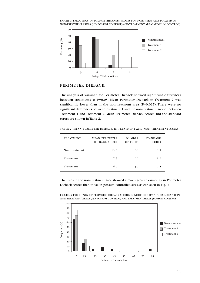



#### PERIMETER DIEBACK

The analysis of variance for Perimeter Dieback showed significant differences between treatments at P=0.05. Mean Perimeter Dieback in Treatment 2 was significantly lower than in the non-treatment area  $(P=0.025)$ , There were no significant differences between Treatment 1 and the non-treatment area or between Treatment 1 and Treatment 2. Mean Perimeter Dieback scores and the standard errors are shown in Table 2.

| TREATMENT     | <b>MEAN PERIMETER</b><br>DIEBACK SCORE | <b>NUMBER</b><br>OF TREES | <b>STANDARD</b><br><b>ERROR</b> |
|---------------|----------------------------------------|---------------------------|---------------------------------|
| Non-treatment | 13.3                                   | 30                        | 3.1                             |
| Treatment 1   | 7.5                                    | 20                        | 1.0                             |
| Treatment 2   | 6.6                                    | 30                        | 0.8                             |

TABLE 2: MEAN PERIMETER DIEBACK IN TREATMENT AND NON-TREATMENT AREAS.

The trees in the non-treatment area showed a much greater variability in Perimeter Dieback scores than those in possum controlled sites, as can seen in Fig. .4.

FIGURE. 4: FREQUENCY OF PERIMETER DIEBACK SCORES IN NORTHERN RATA TREES LOCATED IN NON-TREATMENT AREAS (NO POSSUM CONTROL) AND TREATMENT AREAS (POSSUM CONTROL)

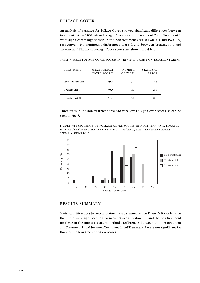#### FOLIAGE COVER

An analysis of variance for Foliage Cover showed significant differences between treatments at P=0.001. Mean Foliage Cover scores in Treatment 2 and Treatment 1 were significantly higher than in the non-treatment area at P=0.001 and P=0.005, respectively. No significant differences were found between Treatment 1 and Treatment 2. The mean Foliage Cover scores are shown in Table 3.

TABLE 3: MEAN FOLIAGE COVER SCORES IN TREATMENT AND NON-TREATMENT AREAS

| <b>TREATMENT</b> | <b>MEAN FOLIAGE</b><br><b>COVER SCORES</b> | <b>NUMBER</b><br>OF TREES | <b>STANDARD</b><br><b>ERROR</b> |  |  |
|------------------|--------------------------------------------|---------------------------|---------------------------------|--|--|
| Non-treatment    | 59.6                                       | 30                        | 2.8                             |  |  |
| Treatment 1      | 70.5                                       | 20                        | 2.4                             |  |  |
| Treatment 2      | 71.3                                       | 30                        | 2.0                             |  |  |

Three trees in the non-treatment area had very low Foliage Cover scores, as can be seen in Fig. 5.

FIGURE. 5: FREQUENCY OF FOLIAGE COVER SCORES IN NORTHERN RATA LOCATED IN NON-TREATMENT AREAS (NO POSSUM CONTROL) AND TREATMENT AREAS (POSSUM CONTROL)



#### RESULTS SUMMARY

Statistical differences between treatments are summarised in Figure 6. It can be seen that there were significant differences between Treatment 2 and the non-treatment for three of the four assessment methods. Differences between the non-treatment and Treatment 1, and between Treatment 1 and Treatment 2 were not significant for three of the four tree condition scores.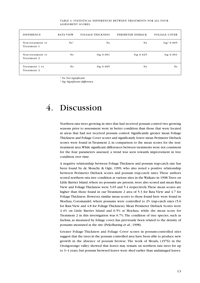| <b>DIFFERENCE</b>               | <b>RATA VIEW</b> | <b>FOLIAGE THICKNESS</b> | PERIMETER DIEBACK | <b>FOLIAGE COVER</b>   |
|---------------------------------|------------------|--------------------------|-------------------|------------------------|
| Non-treatment vs<br>Treatment 1 | $Ns^1$           | N <sub>S</sub>           | N <sub>s</sub>    | Sig <sup>2</sup> 0.005 |
| Non-treatment vs<br>Treatment 2 | N <sub>S</sub>   | $Sig$ 0.001              | $Sig$ 0.025       | $Sig$ 0.001            |
| Treatment 1 vs<br>Treatment 2   | N <sub>S</sub>   | $Sig$ 0.005              | N <sub>s</sub>    | N <sub>s</sub>         |

#### TABLE 4: STATISTICAL DIFFERENCES BETWEEN TREATMENTS FOR ALL FOUR ASSESSMENT SCORES.

*1 Ns: Not significant*

*2 Sig: Significant difference*

### 4. Discussion

Northern rata trees growing in sites that had received possum control two growing seasons prior to assessment were in better condition than those that were located in areas that had not received possum control. Significantly greater mean Foliage Thickness and Foliage Cover scores and significantly lower mean Perimeter Dieback scores were found in Treatment 2, in comparison to the mean scores for the nontreatment area. While significant differences between treatments were not consistent for the four parameters assessed, a trend was seen towards improvement in tree condition over time.

A negative relationship between Foliage Thickness and possum trap-catch rate has been found by de Monchy & Ogle, 1999, who also noted a positive relationship between Perimeter Dieback scores and possum trap-catch rates. These authors scored northern rata tree condition at various sites in the Waikato in 1998. Trees on Little Barrier Island, where no possums are present, were also scored and mean Rata View and Foliage Thickness were 5.65 and 5.4 respectively. These mean scores are higher than those found in our Treatment 2 area of 5.3 for Rata View and 4.7 for Foliage Thickness. However, similar mean scores to those found here were found in Moehau, Coromandel, where possums were controlled to 2% trap-catch rates (5.6 for Rata View and 4.8 for Foliage Thickness). Mean Perimeter Dieback Scores were 4.4% on Little Barrier Island and 6.5% at Moehau, while the mean score for Treatment 2 in this investigation was 6.7%. The condition of tree species, such as fuchsia, as measured by foliage cover, has previously been related to the density of possums measured at the site (Pekelharing *et al*., 1998).

Greater Foliage Thickness and Foliage Cover scores in possum-controlled sites suggest that the trees in the possum controlled area have been able to produce new growth in the absence of possum browse. The work of Meads, (1976) in the Orongorongo valley showed that leaves may remain on northern rata trees for up to 3–4 years, but possum browsed leaves were shed earlier than undamaged leaves.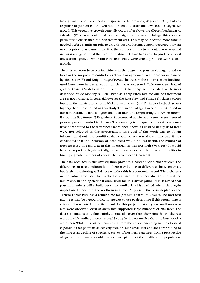New growth is not produced in response to the browse (Fitzgerald, 1976) and any response to possum control will not be seen until after the new season's vegetative growth. This vegetative growth generally occurs after flowering (December, January), (Meads, 1976). Treatment 1 did not have significantly greater foliage thickness or perimeter dieback than the non-treatment area. This may be because more time is needed before significant foliage growth occurs. Possum control occurred only six months prior to assessment for 8 of the 20 trees in this treatment. It was assumed in this investigation that the trees in Treatment 1 have been able to produce at least one season's growth, while those in Treatment 2 were able to produce two seasons' growth.

There is variation between individuals in the degree of possum damage found on trees in the no possum control area. This is in agreement with observations made by Meads, (1976) and Knightbridge, (1996). The trees in the non-treatment localities used here were in better condition than was expected. Only one tree showed greater than 50% defoliation. It is difficult to compare these data with areas described by de Monchy & Ogle, 1999, as a trap-catch rate for our non-treatment area is not available. In general, however, the Rata View and Foliage Thickness scores found in the non-treated sites in Waikato were lower (and Perimeter Dieback scores higher) than those found in this study. The mean Foliage Cover of 59.7% found in our non-treatment area is higher than that found by Knightbridge, (1996) in nearby Eastbourne Bay forests (51%), where 81 terrestrial northern rata trees were assessed prior to possum control in the area. The sampling technique used in this study may have contributed to the differences mentioned above, as dead or nearly dead trees were not selected in this investigation. One goal of this work was to obtain information about tree condition that could be reassessed over time and it was considered that the inclusion of dead trees would be less useful. The number of trees assessed in each area in this investigation was not high (30 trees). It would have been preferable, statistically, to have more trees, but there were difficulties in finding a greater number of accessible trees in each treatment.

The data obtained in this investigation provides a baseline for further studies. The differences in tree condition found here may be due to differences between areas, but further monitoring will detect whether this is a continuing trend. When changes in individual trees can be tracked over time, differences due to site will be minimised. In the operational areas used for this investigation, it is assumed that possum numbers will rebuild over time until a level is reached where they again impact on the health of the northern rata trees. At present, the possum plan for the Tararua Forest Park has a return time for possum control of 7 years. The northern rata trees may be a good indicator species to use to determine if this return time is suitable. It was noted in the field work for this project that very few small northern rata were observed, even in areas that supported large numbers of rata trees. The data set contains only four epiphytic rata, all larger than their rimu hosts (the rest were all self-standing mature trees). No epiphytic rata smaller than the host species were seen. While this pattern may result from the episodic-seeding nature of rata, it is possible that possums selectively feed on such small rata and are contributing to the long-term decline of species. A survey of northern rata trees from a perspective of age or development would give a clearer picture of the health of the population.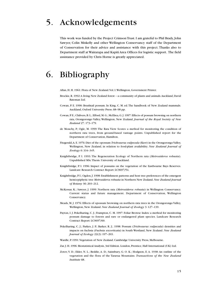### 5. Acknowledgements

This work was funded by the Project Crimson Trust. I am grateful to Phil Brady, John Sawyer, Colin Miskelly and other Wellington Conservancy staff of the Department of Conservation for their advice and assistance with this project. Thanks also to Department staff at Wairarapa and Kapiti Area Offices for logistic support. The field assistance provided by Chris Horne is greatly appreciated.

### 6. Bibliography

Allan, H. H. 1961: Flora of New Zealand. Vol. I. Wellington, Government Printer.

- Brockie, R. 1992: A living New Zealand forest a community of plants and animals. Auckland, David Bateman Ltd.
- Cowan, P. E. 1990: Brushtail possum. In King, C. M. ed. The handbook of New Zealand mammals. Auckland, Oxford University Press. 68–98 pp.
- Cowan, P. E.; Chilvers, B. L.; Efford, M. G.; McElrea, G. J. 1997: Effects of possum browsing on northern rata, Orongorongo Valley, Wellington, New Zealand. *Journal of the Royal Society of New Zealand* 27: 173–179.
- de Monchy, P.; Ogle, M. 1999: The Rata View Scores: a method for monitoring the condition of northern rata trees, from ground-based vantage points. Unpublished report for the Department of Conservation, Hamilton.
- Fitzgerald, A. E. 1976: Diet of the opossum *Trichosurus vulpecula* (Kerr) in the Orongorongo Valley, Wellington, New Zealand, in relation to food-plant availability. *New Zealand Journal of Zoology* 6: 334–345.
- Knightbridge, P. I. 1993: The Regeneration Ecology of Northern rata (*Metrosideros robusta*). Unpublished MSc Thesis. University of Auckland.
- Knightbridge, P. I. 1996: Impact of possums on the vegetation of the Eastbourne Bays Reserves. Landcare Research Contract Report: LC9697/54.
- Knightbridge, P. I.; Ogden, J. 1998: Establishment patterns and host tree preferences of the emergent hemi-epiphytic tree *Metrosideros robusta* in Northern New Zealand. *New Zealand Journal of Botany* 36: 203–212.
- McKessar, K.; Sawyer, J. 1999: Northern rata (*Metrosideros robusta*) in Wellington Conservancy. Current status and future management. Department of Conservation, Wellington Conservancy.
- Meads, M. J. 1976: Effects of opossum browsing on northern rata trees in the Orongorongo Valley, Wellington, New Zealand. *New Zealand Journal of Zoology* 3: 127–139.
- Payton, I. J. Pekelharing, C. J.; Frampton, C. M. 1997: Foliar Browse Index: a method for monitoring possum damage to forests and rare or endangered plant species. Landcare Research Contract Report: LC9697/60.
- Pekelharing, C. J.; Parkes, J. P.; Barker, R. J.; 1998: Possum (*Trichosurus vulpecula*) densities and impacts on fuchsia (*Fuchsia excorticata*) in South Westland, New Zealand. *New Zealand Journal of Ecology* 22(2): 197–203.
- Wardle, P. 1991: Vegetation of New Zealand. Cambridge University Press, Melbourne.
- Zar, J. H. 1996: Biostatistical Analysis, 3rd Edition. London, Prentice, Hall International (UK) Ltd.
- Zotov, V. D.; Elder, N. L.; Beddie, A. D.; Sainsbury, G. O. K.; Hodgson, E. A. 1938: An outline of the vegetation and the flora of the Tararua Mountains. *Transactions of the New Zealand Institute* 68.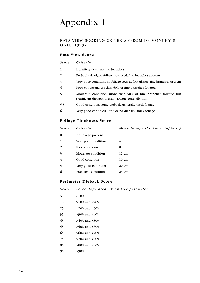### Appendix 1

#### RATA VIEW SCORING CRITERIA (FROM DE MONCHY & OGLE, 1999)

#### **Rata View Score**

| Score        | Criterion                                                                                                              |
|--------------|------------------------------------------------------------------------------------------------------------------------|
| $\mathbf{1}$ | Definitely dead, no fine branches                                                                                      |
| 2            | Probably dead, no foliage observed, fine branches present                                                              |
| 3            | Very poor condition, no foliage seen at first glance, fine branches present                                            |
| 4            | Poor condition, less than 50% of fine branches foliated                                                                |
| 5            | Moderate condition, more than 50% of fine branches foliated but<br>significant dieback present, foliage generally thin |
| 5.5          | Good condition, some dieback, generally thick foliage                                                                  |
| 6            | Very good condition, little or no dieback, thick foliage                                                               |

#### **Foliage Thickness Score**

| Score | Criterion                  | Mean foliage thickness (approx) |
|-------|----------------------------|---------------------------------|
| 0     | No foliage present         |                                 |
| 1     | Very poor condition        | $4 \text{ cm}$                  |
| 2     | Poor condition             | 8 cm                            |
| 3     | Moderate condition         | $12 \text{ cm}$                 |
| 4     | Good condition             | 16 cm                           |
| 5     | Very good condition        | $20 \text{ cm}$                 |
| 6     | <b>Excellent condition</b> | $24 \text{ cm}$                 |
|       |                            |                                 |

#### **Perimeter Dieback Score**

*Score Percentage dieback on tree perimeter*

- 5 <10%
- 15 >10% and <20%
- 25  $>20\%$  and  $<30\%$
- $35$   $>30\%$  and  $<40\%$
- 45  $>40\%$  and  $<50\%$
- 55  $>50\%$  and  $<60\%$
- 65 >60% and <70%
- 75 >70% and <80%
- 85 >80% and <90%
- 95 >90%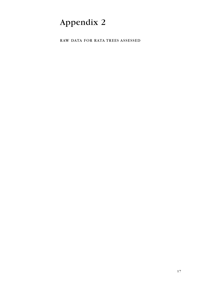## Appendix 2

RAW DATA FOR RATA TREES ASSESSED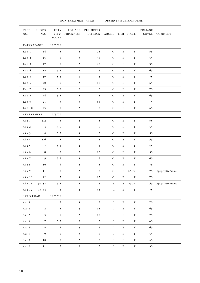NON-TREATMENT AREAS OBSERVERS: CRISP/HORNE

7

| TREE<br>NO.       | РНОТО<br>NO.            | <b>RATA</b><br><b>VIEW</b><br>SCORE | <b>FOLIAGE</b><br>THICKNESS | PERIMETER<br>DIEBACK | ABUND TIER STAGE |             |             | <b>FOLIAGE</b><br>COVER | COMMENT           |
|-------------------|-------------------------|-------------------------------------|-----------------------------|----------------------|------------------|-------------|-------------|-------------------------|-------------------|
| KAPAKAPANUI       |                         | 16/5/00                             |                             |                      |                  |             |             |                         |                   |
| Kap 1             | 14                      | 5                                   | $\overline{4}$              | 25                   | $\rm{O}$         | $\mathbf E$ | $\mathbf T$ | 55                      |                   |
| Kap 2             | 15                      | 5                                   | $\mathfrak{Z}$              | 35                   | ${\rm O}$        | ${\bf E}$   | $\mathbf T$ | 55                      |                   |
| Kap 3             | 17                      | $\mathfrak s$                       | $\mathfrak{Z}$              | 45                   | ${\rm O}$        | $\bf E$     | $\mathbf T$ | 35                      |                   |
| Kap 4             | 18                      | 5.5                                 | $\bf 4$                     | $\mathbf{5}$         | $\rm{O}$         | $\mathbf E$ | $\mathbf T$ | 65                      |                   |
| Kap 5             | 19                      | 5.5                                 | $\overline{\mathbf{3}}$     | $\mathbf{5}$         | ${\rm O}$        | $\mathbf E$ | $\mathbf T$ | 75                      |                   |
| Kap 6             | ${\bf 20}$              | $\mathfrak{h}$                      | $\overline{\mathbf{3}}$     | 15                   | ${\rm O}$        | ${\bf E}$   | $\mathbf T$ | 65                      |                   |
| Kap 7             | 23                      | 5.5                                 | $\mathfrak{h}$              | $\mathbf{5}$         | ${\rm O}$        | $\mathbf E$ | $\mathbf T$ | 75                      |                   |
| Kap 8             | 24                      | 5.5                                 | $\bf 4$                     | $\mathbf{5}$         | ${\rm O}$        | ${\bf E}$   | $\mathbf T$ | 65                      |                   |
| Kap 9             | 21                      | $\mathfrak{Z}$                      | $\mathfrak{Z}$              | 85                   | $\rm{O}$         | Е           | $\mathbf T$ | $\mathfrak{h}$          |                   |
| Kap 10            | 25                      | $\mathbf{5}$                        | $\overline{\mathbf{3}}$     | 5                    | $\rm{O}$         | $\bf E$     | $\mathbf T$ | 65                      |                   |
| <b>AKATARAWAS</b> |                         | 10/3/00                             |                             |                      |                  |             |             |                         |                   |
| Aka 1             | 1,2                     | 5                                   | $\overline{4}$              | 5                    | ${\rm O}$        | $\mathbf E$ | $\mathbf T$ | 55                      |                   |
| Aka 2             | $\overline{\mathbf{3}}$ | 5.5                                 | $\bf 4$                     | $\mathbf{5}$         | ${\rm O}$        | ${\bf E}$   | $\mathbf T$ | 55                      |                   |
| Aka 3             | $\bf 4$                 | 5.5                                 | $\bf 4$                     | $\mathbf{5}$         | ${\rm O}$        | ${\bf E}$   | $\mathbf T$ | 55                      |                   |
| Aka 4             | 5,6                     | $\mathfrak{h}$                      | $\bf 4$                     | $\mathbf{5}$         | ${\rm O}$        | ${\bf E}$   | $\mathbf T$ | 55                      |                   |
| Aka 5             | $\overline{7}$          | 5.5                                 | $\bf 4$                     | $\mathbf{5}$         | $\mathcal O$     | ${\bf E}$   | $\mathbf T$ | 55                      |                   |
| Aka 6             | $\bf8$                  | $\mathbf{5}$                        | $\overline{\mathbf{3}}$     | 15                   | ${\rm O}$        | ${\bf E}$   | $\mathbf T$ | 55                      |                   |
| Aka 7             | 9                       | 5.5                                 | $\bf 4$                     | $\mathbf{5}$         | $\rm{O}$         | Е           | $\mathbf T$ | 65                      |                   |
| Aka 8             | $10\,$                  | 6                                   | $\bf 4$                     | 5                    | ${\rm O}$        | $\bf E$     | $\mathbf T$ | 75                      |                   |
| Aka 9             | $1\,1$                  | $\mathbf{5}$                        | $\mathfrak{Z}$              | $\mathbf{5}$         | ${\rm O}$        | Е           | $> 50\%$    | 75                      | Epiphytic/rimu    |
| Aka 10            | 12                      | 5 <sup>7</sup>                      | $\overline{4}$              | 15                   | $\overline{O}$   | ${\bf E}$   | T           | 75                      |                   |
| Aka 11            | 31,32                   | 5.5                                 | $\overline{4}$              | 5 <sup>7</sup>       | $\bf R$          |             | $E > 50\%$  |                         | 55 Epiphytic/rimu |
|                   | Aka 12 33,34            | $\overline{\phantom{0}}$            | $\sqrt{4}$                  | 35 <sub>5</sub>      | $\mathbf R$      | ${\bf E}$   | $\mathbf T$ | 75                      |                   |
|                   |                         | AVRO ROAD $10/5/00$                 |                             |                      |                  |             |             |                         |                   |
| Avr 1             | $\mathbf{1}$            | 5 <sub>1</sub>                      | $\overline{4}$              | 5 <sup>5</sup>       | ${\bf C}$        | $\mathbf E$ | $\mathbf T$ | 75                      |                   |
| Avr 2             | $\sqrt{2}$              | $\mathfrak{S}$                      | $\overline{\mathbf{3}}$     | 15                   | ${\bf C}$        | $\mathbf E$ | $\mathbf T$ | 65                      |                   |
| Avr 3             | $\overline{\mathbf{3}}$ | 5                                   | $\overline{\mathbf{3}}$     | 15                   | ${\bf C}$        | E           | $\mathbf T$ | 75                      |                   |
| Avr $4$           | $\overline{7}$          | 5.5                                 | $\overline{\mathbf{3}}$     | 5                    | ${\bf C}$        | E           | $\mathbf T$ | 65                      |                   |
| Avr $5$           | $\bf 8$                 | $5\overline{)}$                     | $\mathbf{3}$                | $\mathbf{5}$         | ${\bf C}$        | $\mathbf E$ | $\mathbf T$ | 65                      |                   |
| Avr 6             | $\overline{9}$          | $\overline{\mathbf{5}}$             | $\overline{3}$              | $\mathbf{5}$         | ${\bf C}$        | $\mathbf E$ | $\mathbf T$ | 55                      |                   |
| Avr $7$           | 10                      | $\overline{\mathbf{5}}$             | $\overline{\mathbf{3}}$     | 5 <sup>5</sup>       | ${\bf C}$        | $\mathbf E$ | $\mathbf T$ | 45                      |                   |
| Avr 8             | 11                      | 5 <sup>5</sup>                      | $\mathbf{3}$                | 5 <sup>1</sup>       | ${\bf C}$        | $\mathbf E$ | $\mathbf T$ | 35                      |                   |

 $\mathsf{r}$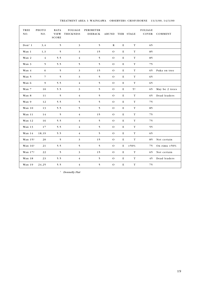| TREE<br>NO.        | РНОТО<br>NO.   | <b>RATA</b><br><b>VIEW</b><br><b>SCORE</b> | <b>FOLIAGE</b><br><b>THICKNESS</b> | PERIMETER<br><b>DIEBACK</b> | <b>ABUND</b>  |         | TIER STAGE  | <b>FOLIAGE</b><br>COVER | COMMENT         |
|--------------------|----------------|--------------------------------------------|------------------------------------|-----------------------------|---------------|---------|-------------|-------------------------|-----------------|
| Don <sup>1</sup> 1 | 3,4            | 5                                          | 3                                  | 5                           | R             | Е       | $\mathbf T$ | 65                      |                 |
| Wan 1              | 1,3            | 5                                          | 3                                  | 15                          | $\Omega$      | Е       | T           | 85                      |                 |
| Wan 2              | $\overline{4}$ | 5.5                                        | $\overline{4}$                     | 5                           | $\mathbf O$   | $\bf E$ | $\mathbf T$ | 85                      |                 |
| Wan 3              | 5              | 5.5                                        | 5                                  | 5                           | $\mathbf O$   | $\bf E$ | $\mathbf T$ | 75                      |                 |
| Wan 4              | 6              | 5                                          | 3                                  | 15                          | $\mathbf O$   | Е       | T           | 65                      | Puka on tree    |
| Wan 5              | $\overline{7}$ | 5                                          | 3                                  | 5                           | $\mathbf O$   | $\bf E$ | $\mathbf T$ | 65                      |                 |
| Wan 6              | 9              | 5.5                                        | $\overline{\bf 4}$                 | 5                           | $\mathbf O$   | $\bf E$ | $\mathbf T$ | 65                      |                 |
| Wan 7              | 10             | 5.5                                        | 3                                  | 5                           | $\mathcal{O}$ | Е       | T?          | 65                      | May be 2 trees  |
| Wan 8              | 11             | 5                                          | $\overline{4}$                     | 5                           | $\mathbf O$   | $\bf E$ | $\mathbf T$ | 65                      | Dead leaders    |
| Wan 9              | 12             | 5.5                                        | 5                                  | 5                           | $\mathbf O$   | $\bf E$ | $\mathbf T$ | 75                      |                 |
| Wan 10             | 13             | 5.5                                        | 5                                  | 5                           | $\Omega$      | Е       | $\mathbf T$ | 85                      |                 |
| Wan 11             | 14             | 5                                          | $\overline{4}$                     | 15                          | $\mathcal{O}$ | Е       | $\mathbf T$ | 75                      |                 |
| Wan 12             | 16             | 5.5                                        | $\overline{\bf 4}$                 | 5                           | $\mathbf O$   | $\bf E$ | $\mathbf T$ | 75                      |                 |
| Wan 13             | 17             | 5.5                                        | $\overline{4}$                     | 5                           | $\mathbf O$   | Е       | T           | 55                      |                 |
| Wan 14             | 18,19          | 5.5                                        | $\overline{4}$                     | 5                           | $\mathbf O$   | Е       | T           | 65                      |                 |
| Wan 15?            | 20             | 5                                          | 3                                  | 15                          | $\mathbf O$   | $\bf E$ | $\mathbf T$ | 85                      | Not certain     |
| Wan 16?            | 21             | 5.5                                        | 5                                  | 5                           | $\mathcal{O}$ | Е       | $> 50\%$    | 75                      | On rimu $>50\%$ |
| Wan 17?            | 22             | 5                                          | 3                                  | 15                          | $\mathbf O$   | Е       | $\mathbf T$ | 65                      | Not certain     |
| Wan 18             | 23             | 5.5                                        | $\overline{4}$                     | 5                           | $\mathbf O$   | $\bf E$ | $\mathbf T$ | 45                      | Dead leaders    |
| Wan 19             | 24,25          | 5.5                                        | $\overline{4}$                     | 5                           | $\mathbf O$   | Е       | $\mathbf T$ | 75                      |                 |

TREATMENT AREA 1: WAINGAWA OBSERVERS: CRISP/HORNE 13/3/00, 14/3/00

*1 Donnelly Flat*